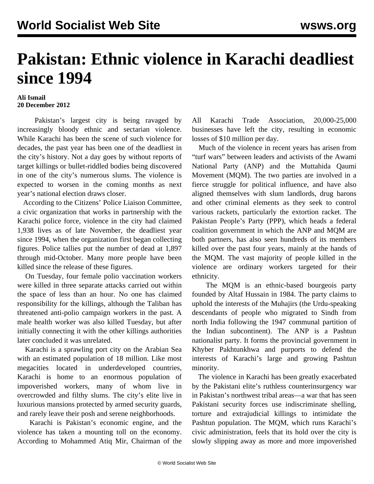## **Pakistan: Ethnic violence in Karachi deadliest since 1994**

## **Ali Ismail 20 December 2012**

 Pakistan's largest city is being ravaged by increasingly bloody ethnic and sectarian violence. While Karachi has been the scene of such violence for decades, the past year has been one of the deadliest in the city's history. Not a day goes by without reports of target killings or bullet-riddled bodies being discovered in one of the city's numerous slums. The violence is expected to worsen in the coming months as next year's national election draws closer.

 According to the Citizens' Police Liaison Committee, a civic organization that works in partnership with the Karachi police force, violence in the city had claimed 1,938 lives as of late November, the deadliest year since 1994, when the organization first began collecting figures. Police tallies put the number of dead at 1,897 through mid-October. Many more people have been killed since the release of these figures.

 On Tuesday, four female polio vaccination workers were killed in three separate attacks carried out within the space of less than an hour. No one has claimed responsibility for the killings, although the Taliban has threatened anti-polio campaign workers in the past. A male health worker was also killed Tuesday, but after initially connecting it with the other killings authorities later concluded it was unrelated.

 Karachi is a sprawling port city on the Arabian Sea with an estimated population of 18 million. Like most megacities located in underdeveloped countries, Karachi is home to an enormous population of impoverished workers, many of whom live in overcrowded and filthy slums. The city's elite live in luxurious mansions protected by armed security guards, and rarely leave their posh and serene neighborhoods.

 Karachi is Pakistan's economic engine, and the violence has taken a mounting toll on the economy. According to Mohammed Atiq Mir, Chairman of the All Karachi Trade Association, 20,000-25,000 businesses have left the city, resulting in economic losses of \$10 million per day.

 Much of the violence in recent years has arisen from "turf wars" between leaders and activists of the Awami National Party (ANP) and the Muttahida Qaumi Movement (MQM). The two parties are involved in a fierce struggle for political influence, and have also aligned themselves with slum landlords, drug barons and other criminal elements as they seek to control various rackets, particularly the extortion racket. The Pakistan People's Party (PPP), which heads a federal coalition government in which the ANP and MQM are both partners, has also seen hundreds of its members killed over the past four years, mainly at the hands of the MQM. The vast majority of people killed in the violence are ordinary workers targeted for their ethnicity.

 The MQM is an ethnic-based bourgeois party founded by Altaf Hussain in 1984. The party claims to uphold the interests of the Muhajirs (the Urdu-speaking descendants of people who migrated to Sindh from north India following the 1947 communal partition of the Indian subcontinent). The ANP is a Pashtun nationalist party. It forms the provincial government in Khyber Pakhtunkhwa and purports to defend the interests of Karachi's large and growing Pashtun minority.

 The violence in Karachi has been greatly exacerbated by the Pakistani elite's ruthless counterinsurgency war in Pakistan's northwest tribal areas—a war that has seen Pakistani security forces use indiscriminate shelling, torture and extrajudicial killings to intimidate the Pashtun population. The MQM, which runs Karachi's civic administration, feels that its hold over the city is slowly slipping away as more and more impoverished